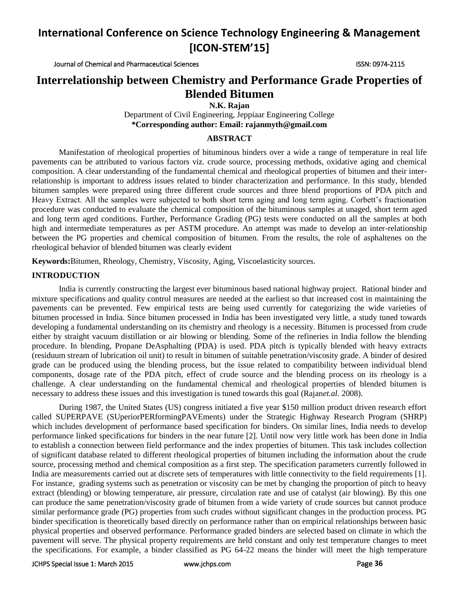Journal of Chemical and Pharmaceutical Sciences ISSN: 0974-2115

# **Interrelationship between Chemistry and Performance Grade Properties of Blended Bitumen**

**N.K. Rajan**

Department of Civil Engineering, Jeppiaar Engineering College **\*Corresponding author: Email: rajanmyth@gmail.com**

### **ABSTRACT**

Manifestation of rheological properties of bituminous binders over a wide a range of temperature in real life pavements can be attributed to various factors viz. crude source, processing methods, oxidative aging and chemical composition. A clear understanding of the fundamental chemical and rheological properties of bitumen and their interrelationship is important to address issues related to binder characterization and performance. In this study, blended bitumen samples were prepared using three different crude sources and three blend proportions of PDA pitch and Heavy Extract. All the samples were subjected to both short term aging and long term aging. Corbett's fractionation procedure was conducted to evaluate the chemical composition of the bituminous samples at unaged, short term aged and long term aged conditions. Further, Performance Grading (PG) tests were conducted on all the samples at both high and intermediate temperatures as per ASTM procedure. An attempt was made to develop an inter-relationship between the PG properties and chemical composition of bitumen. From the results, the role of asphaltenes on the rheological behavior of blended bitumen was clearly evident

**Keywords:**Bitumen, Rheology, Chemistry, Viscosity, Aging, Viscoelasticity sources.

### **INTRODUCTION**

India is currently constructing the largest ever bituminous based national highway project. Rational binder and mixture specifications and quality control measures are needed at the earliest so that increased cost in maintaining the pavements can be prevented. Few empirical tests are being used currently for categorizing the wide varieties of bitumen processed in India. Since bitumen processed in India has been investigated very little, a study tuned towards developing a fundamental understanding on its chemistry and rheology is a necessity. Bitumen is processed from crude either by straight vacuum distillation or air blowing or blending. Some of the refineries in India follow the blending procedure. In blending, Propane DeAsphalting (PDA) is used. PDA pitch is typically blended with heavy extracts (residuum stream of lubrication oil unit) to result in bitumen of suitable penetration/viscosity grade. A binder of desired grade can be produced using the blending process, but the issue related to compatibility between individual blend components, dosage rate of the PDA pitch, effect of crude source and the blending process on its rheology is a challenge. A clear understanding on the fundamental chemical and rheological properties of blended bitumen is necessary to address these issues and this investigation is tuned towards this goal (Rajan*et.al.* 2008).

During 1987, the United States (US) congress initiated a five year \$150 million product driven research effort called SUPERPAVE (SUperiorPERformingPAVEments) under the Strategic Highway Research Program (SHRP) which includes development of performance based specification for binders. On similar lines, India needs to develop performance linked specifications for binders in the near future [2]. Until now very little work has been done in India to establish a connection between field performance and the index properties of bitumen. This task includes collection of significant database related to different rheological properties of bitumen including the information about the crude source, processing method and chemical composition as a first step. The specification parameters currently followed in India are measurements carried out at discrete sets of temperatures with little connectivity to the field requirements [1]. For instance, grading systems such as penetration or viscosity can be met by changing the proportion of pitch to heavy extract (blending) or blowing temperature, air pressure, circulation rate and use of catalyst (air blowing). By this one can produce the same penetration/viscosity grade of bitumen from a wide variety of crude sources but cannot produce similar performance grade (PG) properties from such crudes without significant changes in the production process. PG binder specification is theoretically based directly on performance rather than on empirical relationships between basic physical properties and observed performance. Performance graded binders are selected based on climate in which the pavement will serve. The physical property requirements are held constant and only test temperature changes to meet the specifications. For example, a binder classified as PG 64-22 means the binder will meet the high temperature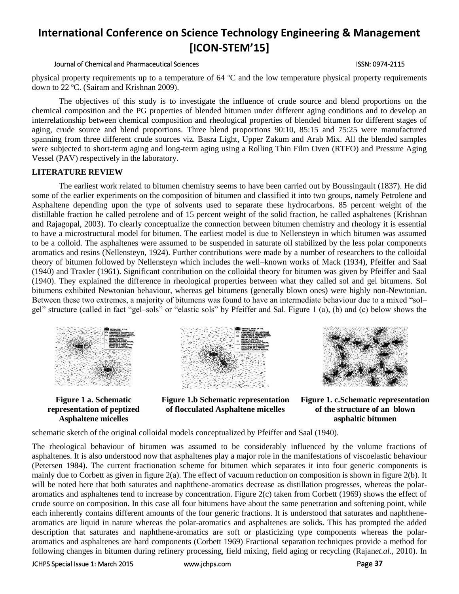### Journal of Chemical and Pharmaceutical Sciences ISSN: 0974-2115

physical property requirements up to a temperature of  $64 \text{ °C}$  and the low temperature physical property requirements down to 22 °C. (Sairam and Krishnan 2009).

The objectives of this study is to investigate the influence of crude source and blend proportions on the chemical composition and the PG properties of blended bitumen under different aging conditions and to develop an interrelationship between chemical composition and rheological properties of blended bitumen for different stages of aging, crude source and blend proportions. Three blend proportions 90:10, 85:15 and 75:25 were manufactured spanning from three different crude sources viz. Basra Light, Upper Zakum and Arab Mix. All the blended samples were subjected to short-term aging and long-term aging using a Rolling Thin Film Oven (RTFO) and Pressure Aging Vessel (PAV) respectively in the laboratory.

### **LITERATURE REVIEW**

The earliest work related to bitumen chemistry seems to have been carried out by Boussingault (1837). He did some of the earlier experiments on the composition of bitumen and classified it into two groups, namely Petrolene and Asphaltene depending upon the type of solvents used to separate these hydrocarbons. 85 percent weight of the distillable fraction he called petrolene and of 15 percent weight of the solid fraction, he called asphaltenes (Krishnan and Rajagopal, 2003). To clearly conceptualize the connection between bitumen chemistry and rheology it is essential to have a microstructural model for bitumen. The earliest model is due to Nellensteyn in which bitumen was assumed to be a colloid. The asphaltenes were assumed to be suspended in saturate oil stabilized by the less polar components aromatics and resins (Nellensteyn, 1924). Further contributions were made by a number of researchers to the colloidal theory of bitumen followed by Nellensteyn which includes the well–known works of Mack (1934), Pfeiffer and Saal (1940) and Traxler (1961). Significant contribution on the colloidal theory for bitumen was given by Pfeiffer and Saal (1940). They explained the difference in rheological properties between what they called sol and gel bitumens. Sol bitumens exhibited Newtonian behaviour, whereas gel bitumens (generally blown ones) were highly non-Newtonian. Between these two extremes, a majority of bitumens was found to have an intermediate behaviour due to a mixed "sol– gel" structure (called in fact "gel–sols" or "elastic sols" by Pfeiffer and Sal. Figure 1 (a), (b) and (c) below shows the



**Figure 1 a. Schematic representation of peptized Asphaltene micelles**



**Figure 1.b Schematic representation of flocculated Asphaltene micelles**



**Figure 1. c.Schematic representation of the structure of an blown asphaltic bitumen**

schematic sketch of the original colloidal models conceptualized by Pfeiffer and Saal (1940).

The rheological behaviour of bitumen was assumed to be considerably influenced by the volume fractions of asphaltenes. It is also understood now that asphaltenes play a major role in the manifestations of viscoelastic behaviour (Petersen 1984). The current fractionation scheme for bitumen which separates it into four generic components is mainly due to Corbett as given in figure 2(a). The effect of vacuum reduction on composition is shown in figure 2(b). It will be noted here that both saturates and naphthene-aromatics decrease as distillation progresses, whereas the polararomatics and asphaltenes tend to increase by concentration. Figure 2(c) taken from Corbett (1969) shows the effect of crude source on composition. In this case all four bitumens have about the same penetration and softening point, while each inherently contains different amounts of the four generic fractions. It is understood that saturates and naphthenearomatics are liquid in nature whereas the polar-aromatics and asphaltenes are solids. This has prompted the added description that saturates and naphthene-aromatics are soft or plasticizing type components whereas the polararomatics and asphaltenes are hard components (Corbett 1969) Fractional separation techniques provide a method for following changes in bitumen during refinery processing, field mixing, field aging or recycling (Rajan*et.al.,* 2010). In

JCHPS Special Issue 1: March 2015 [www.jchps.com](http://www.jchps.com/) Page **37**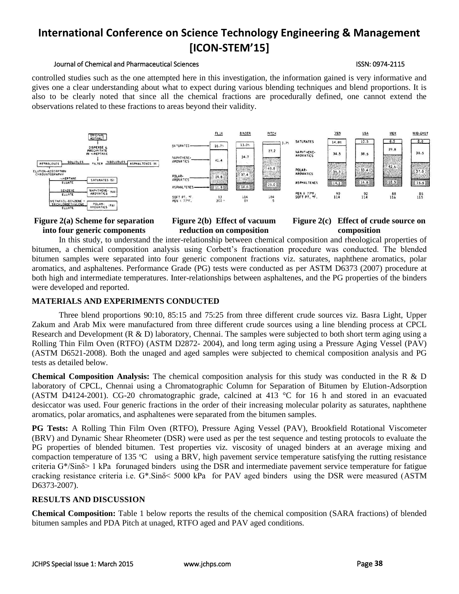### Journal of Chemical and Pharmaceutical Sciences ISSN: 0974-2115

controlled studies such as the one attempted here in this investigation, the information gained is very informative and gives one a clear understanding about what to expect during various blending techniques and blend proportions. It is also to be clearly noted that since all the chemical fractions are procedurally defined, one cannot extend the observations related to these fractions to areas beyond their validity.



# **Figure 2(a) Scheme for separation into four generic components**

### **Figure 2(b) Effect of vacuum reduction on composition**

# **Figure 2(c) Effect of crude source on composition**

In this study, to understand the inter-relationship between chemical composition and rheological properties of bitumen, a chemical composition analysis using Corbett's fractionation procedure was conducted. The blended bitumen samples were separated into four generic component fractions viz. saturates, naphthene aromatics, polar aromatics, and asphaltenes. Performance Grade (PG) tests were conducted as per ASTM D6373 (2007) procedure at both high and intermediate temperatures. Inter-relationships between asphaltenes, and the PG properties of the binders were developed and reported.

# **MATERIALS AND EXPERIMENTS CONDUCTED**

Three blend proportions 90:10, 85:15 and 75:25 from three different crude sources viz. Basra Light, Upper Zakum and Arab Mix were manufactured from three different crude sources using a line blending process at CPCL Research and Development (R & D) laboratory, Chennai. The samples were subjected to both short term aging using a Rolling Thin Film Oven (RTFO) (ASTM D2872- 2004), and long term aging using a Pressure Aging Vessel (PAV) (ASTM D6521-2008). Both the unaged and aged samples were subjected to chemical composition analysis and PG tests as detailed below.

**Chemical Composition Analysis:** The chemical composition analysis for this study was conducted in the R & D laboratory of CPCL, Chennai using a Chromatographic Column for Separation of Bitumen by Elution-Adsorption (ASTM D4124-2001). CG-20 chromatographic grade, calcined at 413 °C for 16 h and stored in an evacuated desiccator was used. Four generic fractions in the order of their increasing molecular polarity as saturates, naphthene aromatics, polar aromatics, and asphaltenes were separated from the bitumen samples.

**PG Tests:** A Rolling Thin Film Oven (RTFO), Pressure Aging Vessel (PAV), Brookfield Rotational Viscometer (BRV) and Dynamic Shear Rheometer (DSR) were used as per the test sequence and testing protocols to evaluate the PG properties of blended bitumen. Test properties viz. viscosity of unaged binders at an average mixing and compaction temperature of 135  $^{\circ}$ C using a BRV, high pavement service temperature satisfying the rutting resistance criteria G\*/Sinδ> 1 kPa forunaged binders using the DSR and intermediate pavement service temperature for fatigue cracking resistance criteria i.e. G\*.Sinδ< 5000 kPa for PAV aged binders using the DSR were measured (ASTM D6373-2007).

# **RESULTS AND DISCUSSION**

**Chemical Composition:** Table 1 below reports the results of the chemical composition (SARA fractions) of blended bitumen samples and PDA Pitch at unaged, RTFO aged and PAV aged conditions.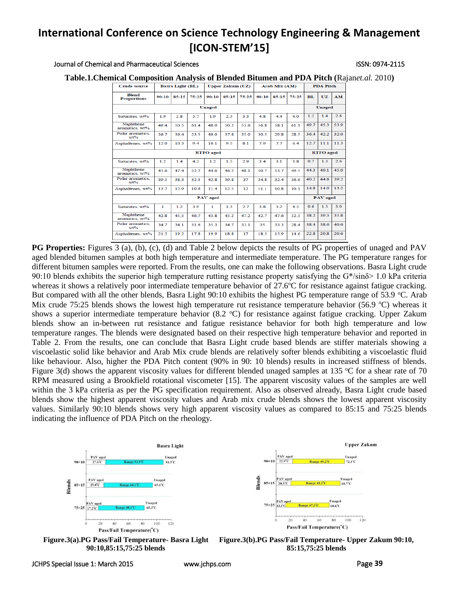#### Journal of Chemical and Pharmaceutical Sciences ISSN: 0974-2115

**Table.1.Chemical Composition Analysis of Blended Bitumen and PDA Pitch (**Rajan*et.al.* 2010**)**

| <b>Crude source</b>                | <b>Basra Light (BL)</b> |       |       | <b>Upper Zakum (UZ)</b> |       |       | Arab Mix (AM) |       |                  | <b>PDA Pitch</b> |      |           |
|------------------------------------|-------------------------|-------|-------|-------------------------|-------|-------|---------------|-------|------------------|------------------|------|-----------|
| <b>Blend</b><br><b>Proportions</b> | 00:10                   | 85:15 | 75:25 | 90:10                   | 85:15 | 75:25 | 00:10         | 85:15 | 75:25            | <b>BL</b>        | UZ   | <b>AM</b> |
| <b>Unaged</b>                      |                         |       |       |                         |       |       |               |       |                  | Unaged           |      |           |
| Saturates, wt%                     | 1.9                     | 2.8   | 5.7   | 1.9                     | 2.5   | 3.3   | 4.8           | 4.4   | 4.0              | 12               | 14   | 2.8       |
| Naphthene<br>aromatics, wt%        | 49.4                    | 50.5  | 61.4  | 48.0                    | 50.2  | 53.6  | 56.8          | 58.1  | 61.1             | 49.7             | 45.3 | 53.9      |
| Polar aromatics,<br>$wt\%$         | 36.7                    | 36.4  | 23.5  | 40.0                    | 37.8  | 35.0  | 30.5          | 29.8  | 28.5             | 36.4             | 42.2 | 32.0      |
| Asphaltenes, wt%                   | 12.0                    | 10.3  | 9.4   | 10.1                    | 9.5   | 8.1   | 7.9           | 7.7   | 6.4              | 12.7             | 11.1 | 11.3      |
| <b>RTFO</b> aged                   |                         |       |       |                         |       |       |               |       | <b>RTFO</b> aged |                  |      |           |
| Saturates, wt%                     | 1.2                     | 1.4   | 4.2   | 1.2                     | 1.5   | 2.9   | 3.4           | 3.1   | 3.8              | 0.7              | 1.3  | 2.6       |
| Naphthene<br>aromatics, wt%        | 45.6                    | 47.4  | 52.7  | 44.6                    | 46.2  | 48.1  | 50.7          | 53.7  | 49.5             | 44.3             | 40.1 | 45.0      |
| Polar aromatics.<br>$wt$ %         | 39.5                    | 38.3  | 32.3  | 42.8                    | 39.8  | 37    | 34.8          | 32.4  | 36.6             | 40.2             | 44.6 | 39.2      |
| Asphaltenes, wt%                   | 13.7                    | 12.9  | 10.8  | 11.4                    | 12.5  | 12    | 11.1          | 10.8  | 10.1             | 14.8             | 14.0 | 13.2      |
| <b>PAV</b> aged                    |                         |       |       |                         |       |       |               |       |                  | <b>PAV</b> aged  |      |           |
| Saturates, wt%                     | 1                       | 1.2   | 3.9   | 1                       | 1.3   | 2.7   | 3.8           | 3.2   | 4.5              | 0.6              | 1.3  | 3.0       |
| Naphthene<br>aromatics, wt%        | 42.8                    | 45.5  | 46.7  | 43.8                    | 45.2  | 47.2  | 42.7          | 47.6  | 52.5             | 38.2             | 39.3 | 35.8      |
| Polar aromatics.<br>$wt\%$         | 34.7                    | 34.1  | 31.6  | 35.3                    | 34.7  | 33.1  | 35            | 33.3  | 28.4             | 38.4             | 38.6 | 40.6      |
| Asphaltenes, wt%                   | 21.5                    | 19.2  | 17.8  | 19.9                    | 18.8  | 17    | 18.5          | 15.9  | 14.6             | 22.8             | 20.8 | 20.6      |

**PG Properties:** Figures 3 (a), (b), (c), (d) and Table 2 below depicts the results of PG properties of unaged and PAV aged blended bitumen samples at both high temperature and intermediate temperature. The PG temperature ranges for different bitumen samples were reported. From the results, one can make the following observations. Basra Light crude 90:10 blends exhibits the superior high temperature rutting resistance property satisfying the G\*/sinδ> 1.0 kPa criteria whereas it shows a relatively poor intermediate temperature behavior of  $27.6^{\circ}$ C for resistance against fatigue cracking. But compared with all the other blends, Basra Light 90:10 exhibits the highest PG temperature range of 53.9  $\degree$ C. Arab Mix crude 75:25 blends shows the lowest high temperature rut resistance temperature behavior (56.9  $^{\circ}$ C) whereas it shows a superior intermediate temperature behavior  $(8.2 \degree C)$  for resistance against fatigue cracking. Upper Zakum blends show an in-between rut resistance and fatigue resistance behavior for both high temperature and low temperature ranges. The blends were designated based on their respective high temperature behavior and reported in Table 2. From the results, one can conclude that Basra Light crude based blends are stiffer materials showing a viscoelastic solid like behavior and Arab Mix crude blends are relatively softer blends exhibiting a viscoelastic fluid like behaviour. Also, higher the PDA Pitch content (90% in 90: 10 blends) results in increased stiffness of blends. Figure 3(d) shows the apparent viscosity values for different blended unaged samples at 135  $\degree$ C for a shear rate of 70 RPM measured using a Brookfield rotational viscometer [15]. The apparent viscosity values of the samples are well within the 3 kPa criteria as per the PG specification requirement. Also as observed already, Basra Light crude based blends show the highest apparent viscosity values and Arab mix crude blends shows the lowest apparent viscosity values. Similarly 90:10 blends shows very high apparent viscosity values as compared to 85:15 and 75:25 blends indicating the influence of PDA Pitch on the rheology.



**Figure.3(a).PG Pass/Fail Temperature- Basra Light 90:10,85:15,75:25 blends**

**Figure.3(b).PG Pass/Fail Temperature- Upper Zakum 90:10, 85:15,75:25 blends**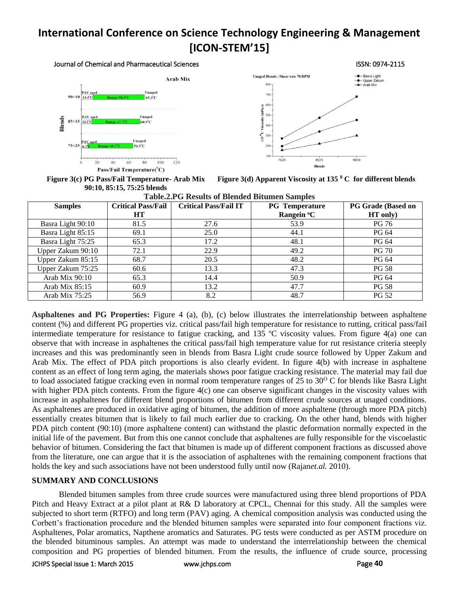#### Journal of Chemical and Pharmaceutical Sciences ISSN: 0974-2115





**Figure 3(c) PG Pass/Fail Temperature- Arab Mix 90:10, 85:15, 75:25 blends**

**Figure 3(d) Apparent Viscosity at 135 <sup>0</sup> C for different blends**

| <b>Samples</b>    | <b>Critical Pass/Fail</b> | <b>Critical Pass/Fail IT</b> | <b>PG</b> Temperature  | <b>PG Grade (Based on</b> |  |  |
|-------------------|---------------------------|------------------------------|------------------------|---------------------------|--|--|
|                   | HT                        |                              | Rangein <sup>o</sup> C | HT only)                  |  |  |
| Basra Light 90:10 | 81.5                      | 27.6                         | 53.9                   | PG 76                     |  |  |
| Basra Light 85:15 | 69.1                      | 25.0                         | 44.1                   | PG 64                     |  |  |
| Basra Light 75:25 | 65.3                      | 17.2                         | 48.1                   | PG 64                     |  |  |
| Upper Zakum 90:10 | 72.1                      | 22.9                         | 49.2                   | <b>PG 70</b>              |  |  |
| Upper Zakum 85:15 | 68.7                      | 20.5                         | 48.2                   | PG 64                     |  |  |
| Upper Zakum 75:25 | 60.6                      | 13.3                         | 47.3                   | <b>PG 58</b>              |  |  |
| Arab Mix 90:10    | 65.3                      | 14.4                         | 50.9                   | PG 64                     |  |  |
| Arab Mix $85:15$  | 60.9                      | 13.2                         | 47.7                   | PG 58                     |  |  |
| Arab Mix $75:25$  | 56.9                      | 8.2                          | 48.7                   | <b>PG 52</b>              |  |  |

**Asphaltenes and PG Properties:** Figure 4 (a), (b), (c) below illustrates the interrelationship between asphaltene content (%) and different PG properties viz. critical pass/fail high temperature for resistance to rutting, critical pass/fail intermediate temperature for resistance to fatigue cracking, and 135  $\degree$ C viscosity values. From figure 4(a) one can observe that with increase in asphaltenes the critical pass/fail high temperature value for rut resistance criteria steeply increases and this was predominantly seen in blends from Basra Light crude source followed by Upper Zakum and Arab Mix. The effect of PDA pitch proportions is also clearly evident. In figure 4(b) with increase in asphaltene content as an effect of long term aging, the materials shows poor fatigue cracking resistance. The material may fail due to load associated fatigue cracking even in normal room temperature ranges of 25 to  $30^{\circ}$  C for blends like Basra Light with higher PDA pitch contents. From the figure 4(c) one can observe significant changes in the viscosity values with increase in asphaltenes for different blend proportions of bitumen from different crude sources at unaged conditions. As asphaltenes are produced in oxidative aging of bitumen, the addition of more asphaltene (through more PDA pitch) essentially creates bitumen that is likely to fail much earlier due to cracking. On the other hand, blends with higher PDA pitch content (90:10) (more asphaltene content) can withstand the plastic deformation normally expected in the initial life of the pavement. But from this one cannot conclude that asphaltenes are fully responsible for the viscoelastic behavior of bitumen. Considering the fact that bitumen is made up of different component fractions as discussed above from the literature, one can argue that it is the association of asphaltenes with the remaining component fractions that holds the key and such associations have not been understood fully until now (Rajan*et.al.* 2010).

# **SUMMARY AND CONCLUSIONS**

Blended bitumen samples from three crude sources were manufactured using three blend proportions of PDA Pitch and Heavy Extract at a pilot plant at R& D laboratory at CPCL, Chennai for this study. All the samples were subjected to short term (RTFO) and long term (PAV) aging. A chemical composition analysis was conducted using the Corbett's fractionation procedure and the blended bitumen samples were separated into four component fractions viz. Asphaltenes, Polar aromatics, Napthene aromatics and Saturates. PG tests were conducted as per ASTM procedure on the blended bituminous samples. An attempt was made to understand the interrelationship between the chemical composition and PG properties of blended bitumen. From the results, the influence of crude source, processing